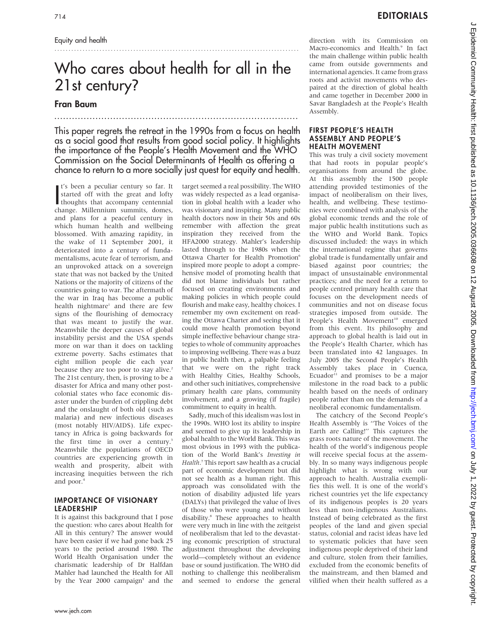Equity and health

# Who cares about health for all in the 21st century?

.......................................................................................

### Fran Baum

This paper regrets the retreat in the 1990s from a focus on health as a social good that results from good social policy. It highlights the importance of the People's Health Movement and the WHO Commission on the Social Determinants of Health as offering a chance to return to a more socially just quest for equity and health.

...................................................................................

I's been a pecular century so far. It<br>started off with the great and lofty<br>thoughts that accompany centennial<br>change Millennium cummite domes t's been a peculiar century so far. It started off with the great and lofty change. Millennium summits, domes, and plans for a peaceful century in which human health and wellbeing blossomed. With amazing rapidity, in the wake of 11 September 2001, it deteriorated into a century of fundamentalisms, acute fear of terrorism, and an unprovoked attack on a sovereign state that was not backed by the United Nations or the majority of citizens of the countries going to war. The aftermath of the war in Iraq has become a public health nightmare<sup>1</sup> and there are few signs of the flourishing of democracy that was meant to justify the war. Meanwhile the deeper causes of global instability persist and the USA spends more on war than it does on tackling extreme poverty. Sachs estimates that eight million people die each year because they are too poor to stay alive.<sup>2</sup> The 21st century, then, is proving to be a disaster for Africa and many other postcolonial states who face economic disaster under the burden of crippling debt and the onslaught of both old (such as malaria) and new infectious diseases (most notably HIV/AIDS). Life expectancy in Africa is going backwards for the first time in over a century.<sup>3</sup> Meanwhile the populations of OECD countries are experiencing growth in wealth and prosperity, albeit with increasing inequities between the rich and poor.<sup>4</sup>

### IMPORTANCE OF VISIONARY LEADERSHIP

It is against this background that I pose the question: who cares about Health for All in this century? The answer would have been easier if we had gone back 25 years to the period around 1980. The World Health Organisation under the charismatic leadership of Dr Halfdan Mahler had launched the Health for All by the Year 2000 campaign<sup>5</sup> and the target seemed a real possibility. The WHO was widely respected as a lead organisation in global health with a leader who was visionary and inspiring. Many public health doctors now in their 50s and 60s remember with affection the great inspiration they received from the HFA2000 strategy. Mahler's leadership lasted through to the 1980s when the Ottawa Charter for Health Promotion<sup>6</sup> inspired more people to adopt a comprehensive model of promoting health that did not blame individuals but rather focused on creating environments and making policies in which people could flourish and make easy, healthy choices. I remember my own excitement on reading the Ottawa Charter and seeing that it could move health promotion beyond simple ineffective behaviour change strategies to whole of community approaches to improving wellbeing. There was a buzz in public health then, a palpable feeling that we were on the right track with Healthy Cities, Healthy Schools, and other such initiatives, comprehensive primary health care plans, community involvement, and a growing (if fragile) commitment to equity in health.

Sadly, much of this idealism was lost in the 1990s. WHO lost its ability to inspire and seemed to give up its leadership in global health to the World Bank. This was most obvious in 1993 with the publication of the World Bank's Investing in Health.<sup>7</sup> This report saw health as a crucial part of economic development but did not see health as a human right. This approach was consolidated with the notion of disability adjusted life years (DALYs) that privileged the value of lives of those who were young and without disability.8 These approaches to health were very much in line with the zeitgeist of neoliberalism that led to the devastating economic prescription of structural adjustment throughout the developing world—completely without an evidence base or sound justification. The WHO did nothing to challenge this neoliberalism and seemed to endorse the general

direction with its Commission on Macro-economics and Health.<sup>9</sup> In fact the main challenge within public health came from outside governments and international agencies. It came from grass roots and activist movements who despaired at the direction of global health and came together in December 2000 in Savar Bangladesh at the People's Health Assembly.

### FIRST PEOPLE'S HEALTH ASSEMBLY AND PEOPLE'S HEALTH MOVEMENT

This was truly a civil society movement that had roots in popular people's organisations from around the globe. At this assembly the 1500 people attending provided testimonies of the impact of neoliberalism on their lives, health, and wellbeing. These testimonies were combined with analysis of the global economic trends and the role of major public health institutions such as the WHO and World Bank. Topics discussed included: the ways in which the international regime that governs global trade is fundamentally unfair and biased against poor countries; the impact of unsustainable environmental practices; and the need for a return to people centred primary health care that focuses on the development needs of communities and not on disease focus strategies imposed from outside. The People's Health Movement<sup>10</sup> emerged from this event. Its philosophy and approach to global health is laid out in the People's Health Charter, which has been translated into 42 languages. In July 2005 the Second People's Health Assembly takes place in Cuenca, Ecuador $^{11}$  and promises to be a major milestone in the road back to a public health based on the needs of ordinary people rather than on the demands of a neoliberal economic fundamentalism.

The catchcry of the Second People's Health Assembly is ''The Voices of the Earth are Calling!'' This captures the grass roots nature of the movement. The health of the world's indigenous people will receive special focus at the assembly. In so many ways indigenous people highlight what is wrong with our approach to health. Australia exemplifies this well. It is one of the world's richest countries yet the life expectancy of its indigenous peoples is 20 years less than non-indigenous Australians. Instead of being celebrated as the first peoples of the land and given special status, colonial and racist ideas have led to systematic policies that have seen indigenous people deprived of their land and culture, stolen from their families, excluded from the economic benefits of the mainstream, and then blamed and vilified when their health suffered as a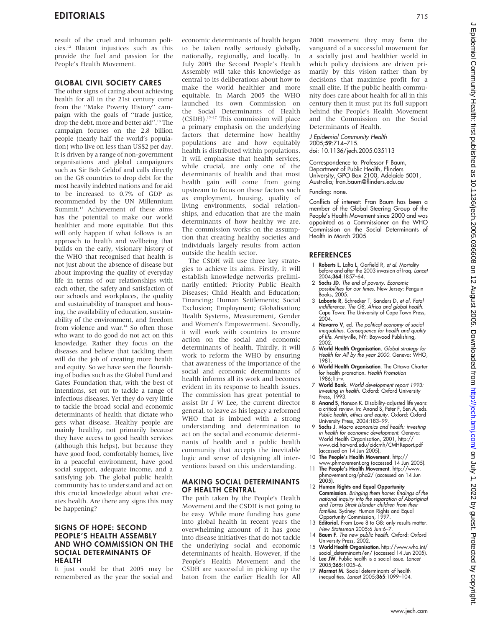result of the cruel and inhuman policies.12 Blatant injustices such as this provide the fuel and passion for the People's Health Movement.

### GLOBAL CIVIL SOCIETY CARES

The other signs of caring about achieving health for all in the 21st century come from the ''Make Poverty History'' campaign with the goals of ''trade justice, drop the debt, more and better aid''.13 The campaign focuses on the 2.8 billion people (nearly half the world's population) who live on less than US\$2 per day. It is driven by a range of non-government organisations and global campaigners such as Sir Bob Geldof and calls directly on the G8 countries to drop debt for the most heavily indebted nations and for aid to be increased to 0.7% of GDP as recommended by the UN Millennium Summit.<sup>13</sup> Achievement of these aims has the potential to make our world healthier and more equitable. But this will only happen if what follows is an approach to health and wellbeing that builds on the early, visionary history of the WHO that recognised that health is not just about the absence of disease but about improving the quality of everyday life in terms of our relationships with each other, the safety and satisfaction of our schools and workplaces, the quality and sustainability of transport and housing, the availability of education, sustainability of the environment, and freedom from violence and war.<sup>14</sup> So often those who want to do good do not act on this knowledge. Rather they focus on the diseases and believe that tackling them will do the job of creating more health and equity. So we have seen the flourishing of bodies such as the Global Fund and Gates Foundation that, with the best of intentions, set out to tackle a range of infectious diseases. Yet they do very little to tackle the broad social and economic determinants of health that dictate who gets what disease. Healthy people are mainly healthy, not primarily because they have access to good health services (although this helps), but because they have good food, comfortably homes, live in a peaceful environment, have good social support, adequate income, and a satisfying job. The global public health community has to understand and act on this crucial knowledge about what creates health. Are there any signs this may be happening?

### SIGNS OF HOPE: SECOND PEOPLE'S HEALTH ASSEMBLY AND WHO COMMISSION ON THE SOCIAL DETERMINANTS OF HEALTH

It just could be that 2005 may be remembered as the year the social and

economic determinants of health began to be taken really seriously globally, nationally, regionally, and locally. In July 2005 the Second People's Health Assembly will take this knowledge as central to its deliberations about how to make the world healthier and more equitable. In March 2005 the WHO launched its own Commission on the Social Determinants of Health (CSDH).15–17 This commission will place a primary emphasis on the underlying factors that determine how healthy populations are and how equitably health is distributed within populations. It will emphasise that health services, while crucial, are only one of the determinants of health and that most health gain will come from going upstream to focus on those factors such as employment, housing, quality of living environments, social relationships, and education that are the main determinants of how healthy we are. The commission works on the assumption that creating healthy societies and individuals largely results from action outside the health sector.

The CSDH will use three key strategies to achieve its aims. Firstly, it will establish knowledge networks preliminarily entitled: Priority Public Health Diseases; Child Health and Education; Financing; Human Settlements; Social Exclusion; Employment; Globalisation; Health Systems, Measurement, Gender and Women's Empowerment. Secondly, it will work with countries to ensure action on the social and economic determinants of health. Thirdly, it will work to reform the WHO by ensuring that awareness of the importance of the social and economic determinants of health informs all its work and becomes evident in its response to health issues. The commission has great potential to assist Dr J W Lee, the current director general, to leave as his legacy a reformed WHO that is imbued with a strong understanding and determination to act on the social and economic determinants of health and a public health community that accepts the inevitable logic and sense of designing all interventions based on this understanding.

### MAKING SOCIAL DETERMINANTS OF HEALTH CENTRAL

The path taken by the People's Health Movement and the CSDH is not going to be easy. While more funding has gone into global health in recent years the overwhelming amount of it has gone into disease initiatives that do not tackle the underlying social and economic determinants of health. However, if the People's Health Movement and the CSDH are successful in picking up the baton from the earlier Health for All

2000 movement they may form the vanguard of a successful movement for a socially just and healthier world in which policy decisions are driven primarily by this vision rather than by decisions that maximise profit for a small elite. If the public health community does care about health for all in this century then it must put its full support behind the People's Health Movement and the Commission on the Social Determinants of Health.

J Epidemiol Community Health 2005;59:714–715. doi: 10.1136/jech.2005.035113

Correspondence to: Professor F Baum, Department of Public Health, Flinders University, GPO Box 2100, Adelaide 5001, Australia; fran.baum@flinders.edu.au

#### Funding: none.

Conflicts of interest: Fran Baum has been a member of the Global Steering Group of the People's Health Movement since 2000 and was appointed as a Commissioner on the WHO Commission on the Social Determinants of Health in March 2005.

### **REFERENCES**

- 1 Roberts L, Lafta L, Garfield R, et al. Mortality before and after the 2003 invasion of Iraq. Lancet 2004;364:1857–64.
- 2 Sachs JD. The end of poverty. Economic possibilities for our times. New Jersey: Penguin Books, 2005.
- 3 Labonte R, Schrecker T, Sanders D, et al. Fatal indifference. The G8, Africa and global health. Cape Town: The University of Cape Town Press, 2004.
- 4 Navarro V, ed. The political economy of social inequalities. Consequence for health and quality of life. Amityville, NY: Baywood Publishing, 2002.
- 5 World Health Organisation. Global strategy for Health for All by the year 2000. Geneva: WHO, 1981.
- 6 World Health Organisation. The Ottawa Charter for health promotion. Health Promotion 1986;1:i–v.
- 7 World Bank. World development report 1993: investing in health. Oxford: Oxford University Press, 1993.
- 8 Anand S, Hanson K. Disability-adjusted life years: a critical review. In: Anand S, Peter F, Sen A, eds. Public health, ethics and equity. Oxford: Oxford University Press, 2004:183–99.
- 9 Sachs J. Macro economics and health: investing in health for economic development. Geneva: World Health Organisation, 2001, http:// www.cid.harvard.edu/cidcmh/CMHReport.pdf (accessed on 14 Jun 2005).
- 10 The People's Health Movement. http://
- www.phmovement.org (accessed 14 Jun 2005). 11 The People's Health Movement. http://www. phmovement.org/pha2/ (accessed on 14 Jun 2005).
- 12 Human Rights and Equal Opportunity Commission. Bringing them home: findings of the national inquiry into the separation of Aboriginal and Torres Strait Islander children from their families. Sydney: Human Rights and Equal Opportunity Commission, 1997.
- 13 Editorial. From Love 8 to G8: only results matter. New Statesman 2005;6 Jun:6-7
- 14 Baum F. The new public health. Oxford: Oxford University Press, 2002.
- 15 World Health Organisation. http://www.who.int/ social\_determinants/en/ (accessed 14 Jun 2005). Lee JW. Public health is a social issue. Lancet
- 2005;365:1005–6. 17 Marmot M. Social determinants of health
- inequalities. Lancet 2005;365:1099–104.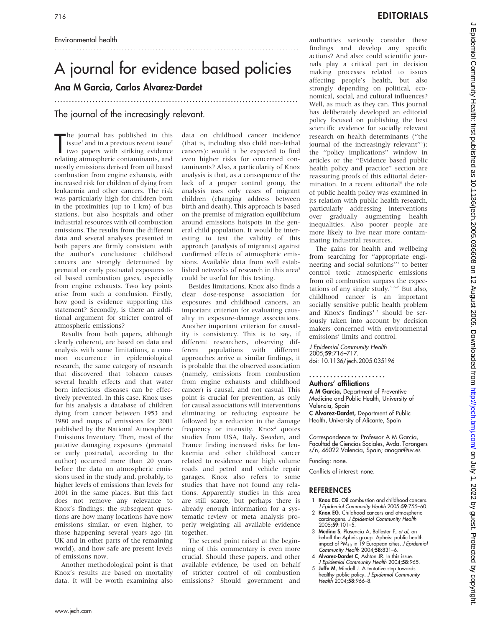### Environmental health

## A journal for evidence based policies Ana M Garcia, Carlos Alvarez-Dardet

.......................................................................................

## ...................................................................................

### The journal of the increasingly relevant.

The journal has published in this<br>
issue<sup>1</sup> and in a previous recent issue<sup>2</sup><br>
two papers with striking evidence<br>
relating atmospheric contaminants, and he journal has published in this issue<sup>1</sup> and in a previous recent issue<sup>2</sup> two papers with striking evidence mostly emissions derived from oil based combustion from engine exhausts, with increased risk for children of dying from leukaemia and other cancers. The risk was particularly high for children born in the proximities (up to 1 km) of bus stations, but also hospitals and other industrial resources with oil combustion emissions. The results from the different data and several analyses presented in both papers are firmly consistent with the author's conclusions: childhood cancers are strongly determined by prenatal or early postnatal exposures to oil based combustion gases, especially from engine exhausts. Two key points arise from such a conclusion. Firstly, how good is evidence supporting this statement? Secondly, is there an additional argument for stricter control of atmospheric emissions?

Results from both papers, although clearly coherent, are based on data and analysis with some limitations, a common occurrence in epidemiological research, the same category of research that discovered that tobacco causes several health effects and that water born infectious diseases can be effectively prevented. In this case, Knox uses for his analysis a database of children dying from cancer between 1953 and 1980 and maps of emissions for 2001 published by the National Atmospheric Emissions Inventory. Then, most of the putative damaging exposures (prenatal or early postnatal, according to the author) occurred more than 20 years before the data on atmospheric emissions used in the study and, probably, to higher levels of emissions than levels for 2001 in the same places. But this fact does not remove any relevance to Knox's findings: the subsequent questions are how many locations have now emissions similar, or even higher, to those happening several years ago (in UK and in other parts of the remaining world), and how safe are present levels of emissions now.

Another methodological point is that Knox's results are based on mortality data. It will be worth examining also data on childhood cancer incidence (that is, including also child non-lethal cancers): would it be expected to find even higher risks for concerned contaminants? Also, a particularity of Knox analysis is that, as a consequence of the lack of a proper control group, the analysis uses only cases of migrant children (changing address between birth and death). This approach is based on the premise of migration equilibrium around emissions hotspots in the general child population. It would be interesting to test the validity of this approach (analysis of migrants) against confirmed effects of atmospheric emissions. Available data from well established networks of research in this area<sup>3</sup> could be useful for this testing.

Besides limitations, Knox also finds a clear dose-response association for exposures and childhood cancers, an important criterion for evaluating causality in exposure-damage associations. Another important criterion for causality is consistency. This is to say, if different researchers, observing different populations with different approaches arrive at similar findings, it is probable that the observed association (namely, emissions from combustion from engine exhausts and childhood cancer) is causal, and not casual. This point is crucial for prevention, as only for causal associations will interventions eliminating or reducing exposure be followed by a reduction in the damage frequency or intensity. Knox<sup>2</sup> quotes studies from USA, Italy, Sweden, and France finding increased risks for leukaemia and other childhood cancer related to residence near high volume roads and petrol and vehicle repair garages. Knox also refers to some studies that have not found any relations. Apparently studies in this area are still scarce, but perhaps there is already enough information for a systematic review or meta analysis properly weighting all available evidence together.

The second point raised at the beginning of this commentary is even more crucial. Should these papers, and other available evidence, be used on behalf of stricter control of oil combustion emissions? Should government and

authorities seriously consider these findings and develop any specific actions? And also: could scientific journals play a critical part in decision making processes related to issues affecting people's health, but also strongly depending on political, economical, social, and cultural influences? Well, as much as they can. This journal has deliberately developed an editorial policy focused on publishing the best scientific evidence for socially relevant research on health determinants (''the journal of the increasingly relevant''4 ): the ''policy implications'' window in articles or the ''Evidence based public health policy and practice'' section are reassuring proofs of this editorial determination. In a recent editorial<sup>5</sup> the role of public health policy was examined in its relation with public health research, particularly addressing interventions over gradually augmenting health inequalities. Also poorer people are more likely to live near more contaminating industrial resources.

The gains for health and wellbeing from searching for ''appropriate engineering and social solutions''1 to better control toxic atmospheric emissions from oil combustion surpass the expectations of any single study. $3^{6-8}$  But also, childhood cancer is an important socially sensitive public health problem and Knox's findings<sup> $12$ </sup> should be seriously taken into account by decision makers concerned with environmental emissions' limits and control.

J Epidemiol Community Health 2005;59:716–717. doi: 10.1136/jech.2005.035196

### ......................

Authors' affiliations

A M Garcia, Department of Preventive Medicine and Public Health, University of Valencia, Spain

C Alvarez-Dardet, Department of Public Health, University of Alicante, Spain

Correspondence to: Professor A M Garcia, Facultad de Ciencias Sociales, Avda. Tarongers s/n, 46022 Valencia, Spain; anagar@uv.es

Funding: none.

Conflicts of interest: none.

### REFERENCES

- 1 Knox EG. Oil combustion and childhood cancers. J Epidemiol Community Health 2005;59:755–60.
- 2 Knox EG. Childhood cancers and atmospheric carcinogens. J Epidemiol Community Health  $2005:59:101-5$ .
- 3 Medina S, Plasencia A, Ballester F, et al, on behalf the Apheis group. Apheis: public health impact of  $PM_{10}$  in 19 European cities. J Epidemiol Community Health 2004;58:831–6.
- 4 Alvarez-Dardet C, Ashton JR. In this issue.
- J Epidemiol Community Health 2004;58:965. 5 Joffe M, Mindell J. A tentative step towards healthy public policy. J Epidemiol Community Health 2004;58:966–8.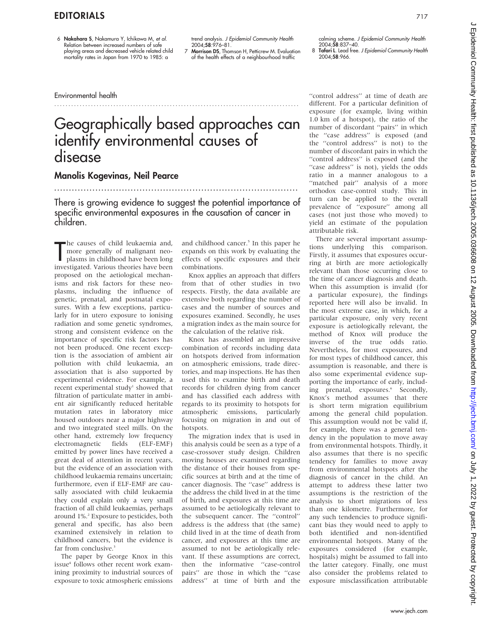## **EDITORIALS** 717

6 Nakahara S, Nakamura Y, Ichikawa M, et al. Relation between increased numbers of safe playing areas and decreased vehicle related child mortality rates in Japan from 1970 to 1985: a

trend analysis. J Epidemiol Community Health 2004;58:976–81.

7 Morrison DS, Thomson H, Petticrew M. Evaluation of the health effects of a neighbourhood traffic

calming scheme. *J Epidemiol Community Health*<br>2004;**58**:837–40.

8 Tafari L. Lead free. J Epidemiol Community Health 2004;58:966.

### Environmental health

# Geographically based approaches can identify environmental causes of disease

.......................................................................................

### Manolis Kogevinas, Neil Pearce

...................................................................................

There is growing evidence to suggest the potential importance of specific environmental exposures in the causation of cancer in children.

The causes of child leukaemia and,<br>
more generally of malignant neo-<br>
plasms in childhood have been long<br>
investigated. Various theories have been he causes of child leukaemia and, more generally of malignant neoplasms in childhood have been long proposed on the aetiological mechanisms and risk factors for these neoplasms, including the influence of genetic, prenatal, and postnatal exposures. With a few exceptions, particularly for in utero exposure to ionising radiation and some genetic syndromes, strong and consistent evidence on the importance of specific risk factors has not been produced. One recent exception is the association of ambient air pollution with child leukaemia, an association that is also supported by experimental evidence. For example, a recent experimental study<sup>1</sup> showed that filtration of particulate matter in ambient air significantly reduced heritable mutation rates in laboratory mice housed outdoors near a major highway and two integrated steel mills. On the other hand, extremely low frequency electromagnetic fields (ELF-EMF) emitted by power lines have received a great deal of attention in recent years, but the evidence of an association with childhood leukaemia remains uncertain; furthermore, even if ELF-EMF are causally associated with child leukaemia they could explain only a very small fraction of all child leukaemias, perhaps around 1%.2 Exposure to pesticides, both general and specific, has also been examined extensively in relation to childhood cancers, but the evidence is far from conclusive.<sup>3</sup>

The paper by George Knox in this issue<sup>4</sup> follows other recent work examining proximity to industrial sources of exposure to toxic atmospheric emissions and childhood cancer.<sup>5</sup> In this paper he expands on this work by evaluating the effects of specific exposures and their combinations.

Knox applies an approach that differs from that of other studies in two respects. Firstly, the data available are extensive both regarding the number of cases and the number of sources and exposures examined. Secondly, he uses a migration index as the main source for the calculation of the relative risk.

Knox has assembled an impressive combination of records including data on hotspots derived from information on atmospheric emissions, trade directories, and map inspections. He has then used this to examine birth and death records for children dying from cancer and has classified each address with regards to its proximity to hotspots for atmospheric emissions, particularly focusing on migration in and out of hotspots.

The migration index that is used in this analysis could be seen as a type of a case-crossover study design. Children moving houses are examined regarding the distance of their houses from specific sources at birth and at the time of cancer diagnosis. The ''case'' address is the address the child lived in at the time of birth, and exposures at this time are assumed to be aetiologically relevant to the subsequent cancer. The ''control'' address is the address that (the same) child lived in at the time of death from cancer, and exposures at this time are assumed to not be aetiologically relevant. If these assumptions are correct, then the informative ''case-control pairs'' are those in which the ''case address'' at time of birth and the

''control address'' at time of death are different. For a particular definition of exposure (for example, living within 1.0 km of a hotspot), the ratio of the number of discordant ''pairs'' in which the ''case address'' is exposed (and the ''control address'' is not) to the number of discordant pairs in which the "control address" is exposed (and the "case address" is not), yields the odds ratio in a manner analogous to a "matched pair" analysis of a more orthodox case-control study. This in turn can be applied to the overall prevalence of ''exposure'' among all cases (not just those who moved) to yield an estimate of the population attributable risk.

There are several important assumptions underlying this comparison. Firstly, it assumes that exposures occurring at birth are more aetiologically relevant than those occurring close to the time of cancer diagnosis and death. When this assumption is invalid (for a particular exposure), the findings reported here will also be invalid. In the most extreme case, in which, for a particular exposure, only very recent exposure is aetiologically relevant, the method of Knox will produce the inverse of the true odds ratio. Nevertheless, for most exposures, and for most types of childhood cancer, this assumption is reasonable, and there is also some experimental evidence supporting the importance of early, including prenatal, exposures.<sup>6</sup> Secondly, Knox's method assumes that there is short term migration equilibrium among the general child population. This assumption would not be valid if, for example, there was a general tendency in the population to move away from environmental hotspots. Thirdly, it also assumes that there is no specific tendency for families to move away from environmental hotspots after the diagnosis of cancer in the child. An attempt to address these latter two assumptions is the restriction of the analysis to short migrations of less than one kilometre. Furthermore, for any such tendencies to produce significant bias they would need to apply to both identified and non-identified environmental hotspots. Many of the exposures considered (for example, hospitals) might be assumed to fall into the latter category. Finally, one must also consider the problems related to exposure misclassification attributable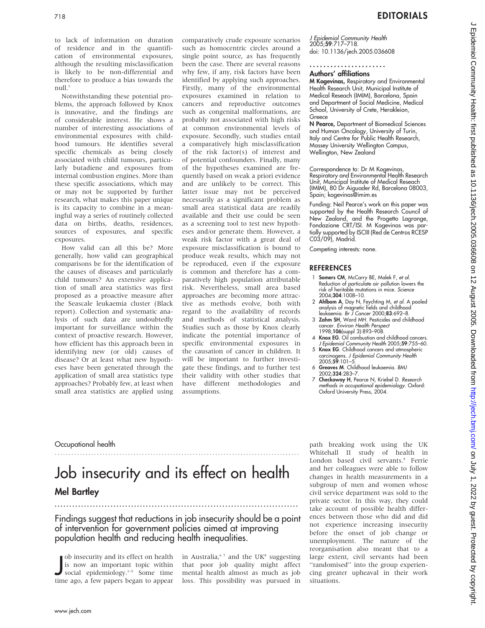to lack of information on duration of residence and in the quantification of environmental exposures, although the resulting misclassification is likely to be non-differential and therefore to produce a bias towards the null.7

Notwithstanding these potential problems, the approach followed by Knox is innovative, and the findings are of considerable interest. He shows a number of interesting associations of environmental exposures with childhood tumours. He identifies several specific chemicals as being closely associated with child tumours, particularly butadiene and exposures from internal combustion engines. More than these specific associations, which may or may not be supported by further research, what makes this paper unique is its capacity to combine in a meaningful way a series of routinely collected data on births, deaths, residences, sources of exposures, and specific exposures.

How valid can all this be? More generally, how valid can geographical comparisons be for the identification of the causes of diseases and particularly child tumours? An extensive application of small area statistics was first proposed as a proactive measure after the Seascale leukaemia cluster (Black report). Collection and systematic analysis of such data are undoubtedly important for surveillance within the context of proactive research. However, how efficient has this approach been in identifying new (or old) causes of disease? Or at least what new hypotheses have been generated through the application of small area statistics type approaches? Probably few, at least when small area statistics are applied using

comparatively crude exposure scenarios such as homocentric circles around a single point source, as has frequently been the case. There are several reasons why few, if any, risk factors have been identified by applying such approaches. Firstly, many of the environmental exposures examined in relation to cancers and reproductive outcomes such as congenital malformations, are probably not associated with high risks at common environmental levels of exposure. Secondly, such studies entail a comparatively high misclassification of the risk factor(s) of interest and of potential confounders. Finally, many of the hypotheses examined are frequently based on weak a priori evidence and are unlikely to be correct. This latter issue may not be perceived necessarily as a significant problem as small area statistical data are readily available and their use could be seen as a screening tool to test new hypotheses and/or generate them. However, a weak risk factor with a great deal of exposure misclassification is bound to produce weak results, which may not be reproduced, even if the exposure is common and therefore has a comparatively high population attributable risk. Nevertheless, small area based approaches are becoming more attractive as methods evolve, both with regard to the availability of records and methods of statistical analysis. Studies such as those by Knox clearly indicate the potential importance of specific environmental exposures in the causation of cancer in children. It will be important to further investigate these findings, and to further test their validity with other studies that have different methodologies and assumptions.

J Epidemiol Community Health<br>2005;**59**:717–718. doi: 10.1136/jech.2005.036608

......................

## Authors' affiliations

M Kogevinas, Respiratory and Environmental Health Research Unit, Municipal Institute of Medical Reseach (IMIM), Barcelona, Spain and Department of Social Medicine, Medical School, University of Crete, Herakleion, Greece

N Pearce, Department of Biomedical Sciences and Human Oncology, University of Turin, Italy and Centre for Public Health Research, Massey University Wellington Campus, Wellington, New Zealand

Correspondence to: Dr M Kogevinas, Respiratory and Environmental Health Research Unit, Municipal Institute of Medical Reseach (IMIM), 80 Dr Aiguader Rd, Barcelona 08003, Spain; kogevinas@imim.es

Funding: Neil Pearce's work on this paper was supported by the Health Research Council of New Zealand, and the Progetto Lagrange, Fondazione CRT/ISI. M Kogevinas was partially supported by ISCIII (Red de Centros RCESP C03/09), Madrid.

Competing interests: none.

#### REFERENCES

- 1 Somers CM, McCarry BE, Malek F, et al. Reduction of particulate air pollution lowers the risk of heritable mutations in mice. Science 2004;304:1008–10.
- 2 Ahlbom A, Day N, Feychting M, *et al.* A pooled<br>analysis of magnetic fields and childhood<br>leukaemia. *Br J Cancer* 2000;**83**:692–8.
- 3 Zahm SH, Ward MH. Pesticides and childhood cancer. Environ Health Perspect
- 1998;106(suppl 3):893–908. 4 Knox EG. Oil combustion and childhood cancers. J Epidemiol Community Health 2005;59:755-60.
- 5 Knox EG. Childhood cancers and atmospheric carcinogens. *J Epidemiol Community Health*<br>2005;**59**:101–5.
- 6 Greaves M. Childhood leukaemia. BMJ 2002;324:283–7.
- 7 Checkoway H, Pearce N, Kriebel D. Research methods in occupational epidemiology. Oxford: Oxford University Press, 2004.

### Occupational health

## Job insecurity and its effect on health Mel Bartley

.......................................................................................

## Findings suggest that reductions in job insecurity should be a point of intervention for government policies aimed at improving population health and reducing health inequalities.

...................................................................................

Job insecurity and its effect on health<br>is now an important topic within<br>social epidemiology.<sup>1-5</sup> Some time<br>time ago, a few papers began to appear ob insecurity and its effect on health is now an important topic within social epidemiology.<sup>1-5</sup> Some time

in Australia, $67$  and the UK $8$  suggesting that poor job quality might affect mental health almost as much as job loss. This possibility was pursued in path breaking work using the UK Whitehall II study of health in London based civil servants.<sup>9</sup> Ferrie and her colleagues were able to follow changes in health measurements in a subgroup of men and women whose civil service department was sold to the private sector. In this way, they could take account of possible health differences between those who did and did not experience increasing insecurity before the onset of job change or unemployment. The nature of the reorganisation also meant that to a large extent, civil servants had been ''randomised'' into the group experiencing greater upheaval in their work situations.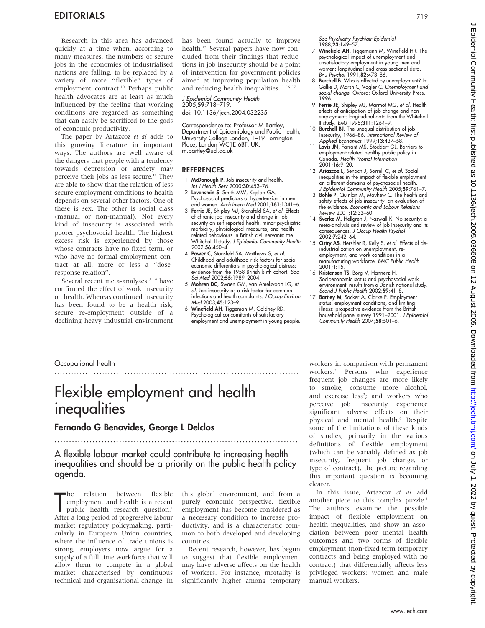Research in this area has advanced quickly at a time when, according to many measures, the numbers of secure jobs in the economies of industrialised nations are falling, to be replaced by a variety of more ''flexible'' types of employment contract.10 Perhaps public health advocates are at least as much influenced by the feeling that working conditions are regarded as something that can easily be sacrificed to the gods of economic productivity.<sup>11</sup>

The paper by Artazcoz et al adds to this growing literature in important ways. The authors are well aware of the dangers that people with a tendency towards depression or anxiety may perceive their jobs as less secure.<sup>12</sup> They are able to show that the relation of less secure employment conditions to health depends on several other factors. One of these is sex. The other is social class (manual or non-manual). Not every kind of insecurity is associated with poorer psychosocial health. The highest excess risk is experienced by those whose contracts have no fixed term, or who have no formal employment contract at all: more or less a ''doseresponse relation''.

Several recent meta-analyses $13/14$  have confirmed the effect of work insecurity on health. Whereas continued insecurity has been found to be a health risk, secure re-employment outside of a declining heavy industrial environment has been found actually to improve health.<sup>15</sup> Several papers have now concluded from their findings that reductions in job insecurity should be a point of intervention for government policies aimed at improving population health and reducing health inequalities.<sup>11 16 17</sup>

J Epidemiol Community Health 2005;59:718–719. doi: 10.1136/jech.2004.032235

Correspondence to: Professor M Bartley, Department of Epidemiology and Public Health, University College London, 1–19 Torrington Place, London WC1E 6BT, UK; m.bartley@ucl.ac.uk

### **REFERENCES**

- 1 **McDonough P**. Job insecurity and health. Int J Health Serv 2000;30:453–76.
- 2 Levenstein S, Smith MW, Kaplan GA. Psychosocial predictors of hypertension in men and women. Arch Intern Med 2001;161:1341–6.
- 3 Ferrie JE, Shipley MJ, Stansfeld SA, et al. Effects of chronic job insecurity and change in job security on self reported health, minor psychiatric morbidity, physiological measures, and health related behaviours in British civil servants: the<br>Whitehall II study. *J Epidemiol Community Health* 2002;56:450–4.
- 4 Power C, Stansfeld SA, Matthews S, et al. Childhood and adulthood risk factors for socioeconomic differentials in psychological distress: evidence from the 1958 British birth cohort. Soc Sci Med 2002;55:1989-2004.
- 5 Mohren DC, Swaen GM, van Amelsvoort LG, et al. Job insecurity as a risk factor for common infections and health complaints. J Occup Environ Med 2003;45:123–9.
- 6 Winefield AH, Tiggeman M, Goldney RD. Psychological concomitants of satisfactory employment and unemployment in young people.

.......................................................................................

Soc Psychiatry Psychiatr Epidemiol<br>1988;**23**:149–57.

- 7 Winefield AH, Tiggemann M, Winefield HR. The psychological impact of unemployment and unsatisfactory employment in young men and women: longitudinal and cross-sectional data. Br J Psychol 1991;82:473–86.
- 8 **Burchell B**. Who is affected by unemployment? In:<br>Gallie D, Marsh C, Vogler C. Un*employment and* social change. Oxford: Oxford University Press, 1996.
- 9 Ferrie JE, Shipley MJ, Marmot MG, et al. Health effects of anticipation of job change and nonemployment: longitudinal data from the Whitehall Il study. BMJ 1995;311:1264-9.
- 10 Burchell BJ. The unequal distribution of job insecurity, 1966–86. International Review of Applied Economics 1999;13:437–58.
- 11 Lavis JN, Farrant MS, Stoddart GL. Barriers to employment-related healthy public policy in Canada. Health Promot Internation 2001;16:9–20.
- 12 Artazcoz L, Benach J, Borrell C, et al. Social inequalities in the impact of flexible employment on different domains of psychosocial health. J Epidemiol Community Health 2005;59:761–7.
- 13 Bohle P, Quinlan M, Mayhew C. The health and safety effects of job insecurity: an evaluation of the evidence. Economic and Labour Relations Review 2001;12:32–60.
- 14 Sverke M, Hellgren J, Naswall K. No security: a meta-analysis and review of job insecurity and its consequences. J Occup Health Psychol 2002;7:242–64.
- 15 Ostry AS, Hershler R, Kelly S, et al. Effects of deindustrialization on unemployment, reemployment, and work conditions in a manufacturing workforce. BMC Public Health 2001;1:15.
- 16 Kristensen TS, Borg V, Hannerz H. Socioeconomic status and psychosocial work environment: results from a Danish national study. Scand J Public Health 2002;59:41–8.
- 17 Bartley M, Sacker A, Clarke P. Employment status, employment conditions, and limiting illness: prospective evidence from the British household panel survey 1991–2001. *J Epidemiol*<br>Community Health 2004;**58**:501–6.

### Occupational health

# Flexible employment and health inequalities

### Fernando G Benavides, George L Delclos

A flexible labour market could contribute to increasing health inequalities and should be a priority on the public health policy agenda.

The relation between itexible<br>
employment and health is a recent<br>
public health research question.<sup>1</sup> he relation between flexible employment and health is a recent After a long period of progressive labour market regulatory policymaking, particularly in European Union countries, where the influence of trade unions is strong, employers now argue for a supply of a full time workforce that will allow them to compete in a global market characterised by continuous technical and organisational change. In

this global environment, and from a purely economic perspective, flexible employment has become considered as a necessary condition to increase productivity, and is a characteristic common to both developed and developing countries.

...................................................................................

Recent research, however, has begun to suggest that flexible employment may have adverse affects on the health of workers. For instance, mortality is significantly higher among temporary workers in comparison with permanent workers.2 Persons who experience frequent job changes are more likely to smoke, consume more alcohol, and exercise less<sup>3</sup>; and workers who perceive job insecurity experience significant adverse effects on their physical and mental health.4 Despite some of the limitations of these kinds of studies, primarily in the various definitions of flexible employment (which can be variably defined as job insecurity, frequent job change, or type of contract), the picture regarding this important question is becoming clearer.

In this issue, Artazcoz et al add another piece to this complex puzzle.<sup>5</sup> The authors examine the possible impact of flexible employment on health inequalities, and show an association between poor mental health outcomes and two forms of flexible employment (non-fixed term temporary contracts and being employed with no contract) that differentially affects less privileged workers: women and male manual workers.